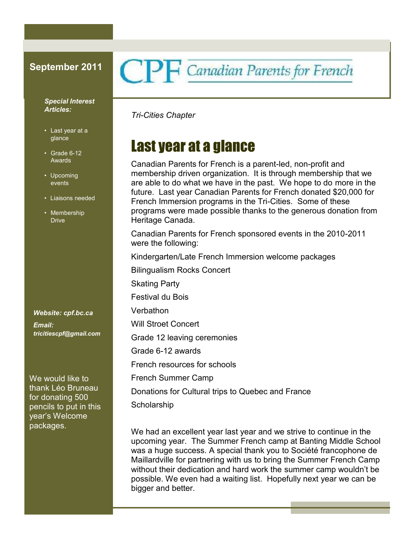#### *Special Interest Articles:*

- Last year at a glance
- Grade 6-12 Awards
- Upcoming events
- Liaisons needed
- Membership Drive

*Website: cpf.bc.ca Email: tricitiescpf@gmail.com*

We would like to thank Léo Bruneau for donating 500 pencils to put in this year's Welcome packages.

# September 2011 CPF Canadian Parents for French

*Tri-Cities Chapter*

# Last year at a glance

Canadian Parents for French is a parent-led, non-profit and membership driven organization. It is through membership that we are able to do what we have in the past. We hope to do more in the future. Last year Canadian Parents for French donated \$20,000 for French Immersion programs in the Tri-Cities. Some of these programs were made possible thanks to the generous donation from Heritage Canada.

Canadian Parents for French sponsored events in the 2010-2011 were the following:

Kindergarten/Late French Immersion welcome packages

Bilingualism Rocks Concert

Skating Party

Festival du Bois

Verbathon

Will Stroet Concert

Grade 12 leaving ceremonies

Grade 6-12 awards

French resources for schools

French Summer Camp

Donations for Cultural trips to Quebec and France

Scholarship

We had an excellent year last year and we strive to continue in the upcoming year. The Summer French camp at Banting Middle School was a huge success. A special thank you to Société francophone de Maillardville for partnering with us to bring the Summer French Camp without their dedication and hard work the summer camp wouldn't be possible. We even had a waiting list. Hopefully next year we can be bigger and better.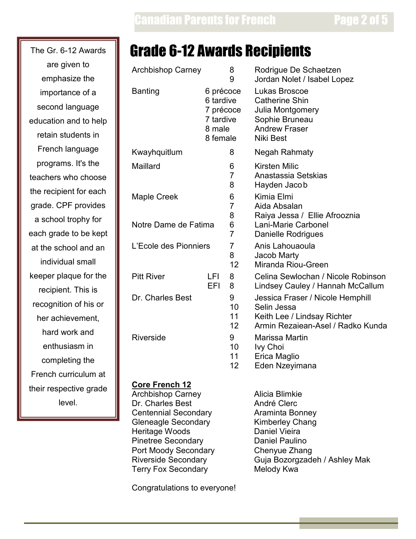are given to emphasize the importance of a second language education and to help retain students in French language programs. It's the  $\parallel$  M teachers who choose the recipient for each  $\parallel$  M grade. CPF provides a school trophy for each grade to be kept at the school and an  $\mathbb{L}$ individual small keeper plaque for the  $\|$  P recipient. This is recognition of his or her achievement, hard work and enthusiasm in completing the French curriculum at their respective grade level.

# The Gr. 6-12 Awards **Form Strade 6-12 Awards Recipients**

| <b>Archbishop Carney</b>                                                                 |            | 8<br>9                                 | Rodrigue De Schaetzen<br>Jordan Nolet / Isabel Lopez                                                                     |
|------------------------------------------------------------------------------------------|------------|----------------------------------------|--------------------------------------------------------------------------------------------------------------------------|
| <b>Banting</b><br>6 précoce<br>6 tardive<br>7 précoce<br>7 tardive<br>8 male<br>8 female |            |                                        | Lukas Broscoe<br><b>Catherine Shin</b><br>Julia Montgomery<br>Sophie Bruneau<br><b>Andrew Fraser</b><br><b>Niki Best</b> |
| Kwayhquitlum                                                                             |            | 8                                      | Negah Rahmaty                                                                                                            |
| Maillard                                                                                 |            | 6<br>$\overline{7}$<br>8               | <b>Kirsten Milic</b><br>Anastassia Setskias<br>Hayden Jacob                                                              |
| <b>Maple Creek</b>                                                                       |            | 6<br>$\overline{7}$<br>8               | Kimia Elmi<br>Aida Absalan<br>Raiya Jessa / Ellie Afrooznia                                                              |
| Notre Dame de Fatima                                                                     |            | 6<br>$\overline{7}$                    | Lani-Marie Carbonel<br><b>Danielle Rodrigues</b>                                                                         |
| L'Ecole des Pionniers                                                                    |            | $\overline{7}$<br>8<br>12 <sup>2</sup> | Anis Lahouaoula<br>Jacob Marty<br>Miranda Riou-Green                                                                     |
| <b>Pitt River</b>                                                                        | LFI<br>EFI | 8<br>8                                 | Celina Sewlochan / Nicole Robinson<br>Lindsey Cauley / Hannah McCallum                                                   |
| Dr. Charles Best                                                                         |            | 9<br>10<br>11<br>12 <sub>2</sub>       | Jessica Fraser / Nicole Hemphill<br>Selin Jessa<br>Keith Lee / Lindsay Richter<br>Armin Rezaiean-Asel / Radko Kunda      |
| Riverside                                                                                |            | 9<br>10<br>11<br>12                    | Marissa Martin<br>Ivy Choi<br>Erica Maglio<br>Eden Nzeyimana                                                             |

### **Core French 12**

Archbishop Carney Alicia Blimkie Dr. Charles Best André Clerc Centennial Secondary **Araminta Bonney** Gleneagle Secondary **Kimberley Chang**<br>
Heritage Woods **Changer Contains Container Changer**<br>
Daniel Vieira Heritage Woods Pinetree Secondary **Daniel Paulino** Port Moody Secondary<br>
Riverside Secondary<br>
Guja Bozorgzade Terry Fox Secondary

Congratulations to everyone!

Guja Bozorgzadeh / Ashley Mak<br>Melody Kwa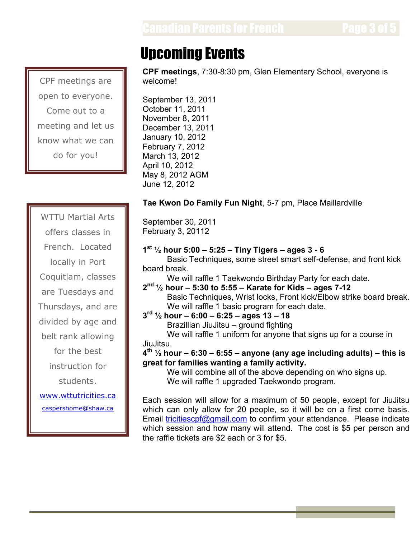# Upcoming Events

**CPF meetings**, 7:30-8:30 pm, Glen Elementary School, everyone is welcome!

September 13, 2011 October 11, 2011 November 8, 2011 December 13, 2011 January 10, 2012 February 7, 2012 March 13, 2012 April 10, 2012 May 8, 2012 AGM June 12, 2012

## **Tae Kwon Do Family Fun Night**, 5-7 pm, Place Maillardville

September 30, 2011 February 3, 20112

# **1 st ½ hour 5:00 – 5:25 – Tiny Tigers – ages 3 - 6**

Basic Techniques, some street smart self-defense, and front kick board break.

We will raffle 1 Taekwondo Birthday Party for each date.

**2 nd ½ hour – 5:30 to 5:55 – Karate for Kids – ages 7-12** Basic Techniques, Wrist locks, Front kick/Elbow strike board break. We will raffle 1 basic program for each date.

**3 rd ½ hour – 6:00 – 6:25 – ages 13 – 18**

Brazillian JiuJitsu – ground fighting

We will raffle 1 uniform for anyone that signs up for a course in JiuJitsu.

**4 th ½ hour – 6:30 – 6:55 – anyone (any age including adults) – this is great for families wanting a family activity.**

We will combine all of the above depending on who signs up. We will raffle 1 upgraded Taekwondo program.

Each session will allow for a maximum of 50 people, except for JiuJitsu which can only allow for 20 people, so it will be on a first come basis. Email tricitiescpf@gmail.com to confirm your attendance. Please indicate which session and how many will attend. The cost is \$5 per person and the raffle tickets are \$2 each or 3 for \$5.

CPF meetings are open to everyone. Come out to a meeting and let us know what we can do for you!

WTTU Martial Arts offers classes in French. Located locally in Port Coquitlam, classes are Tuesdays and Thursdays, and are divided by age and belt rank allowing for the best instruction for students. www.wttutricities.ca

caspershome@shaw.ca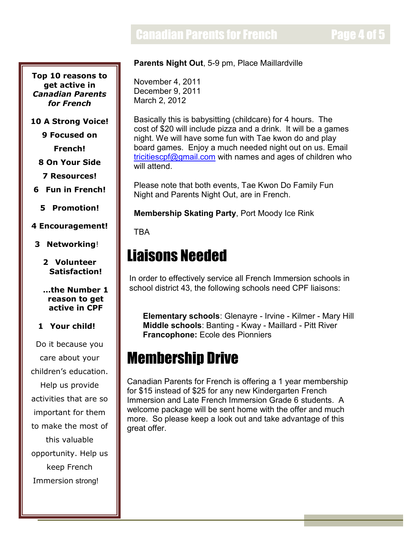# **Canadian Parents for French Page 4 of 5**

**Top 10 reasons to get active in** *Canadian Parents for French*

**10 A Strong Voice!**

**9 Focused on**

**French!**

**8 On Your Side**

**7 Resources!**

**6 Fun in French!**

**5 Promotion!**

#### **4 Encouragement!**

**3 Networking**!

**2 Volunteer Satisfaction!**

#### **…the Number 1 reason to get active in CPF**

### **1 Your child!**

Do it because you care about your children's education. Help us provide activities that are so important for them to make the most of this valuable opportunity. Help us keep French Immersion strong!

### **Parents Night Out**, 5-9 pm, Place Maillardville

November 4, 2011 December 9, 2011 March 2, 2012

Basically this is babysitting (childcare) for 4 hours. The cost of \$20 will include pizza and a drink. It will be a games night. We will have some fun with Tae kwon do and play board games. Enjoy a much needed night out on us. Email tricitiescpf@gmail.com with names and ages of children who will attend.

Please note that both events, Tae Kwon Do Family Fun Night and Parents Night Out, are in French.

**Membership Skating Party**, Port Moody Ice Rink

**TRA** 

# Liaisons Needed

In order to effectively service all French Immersion schools in school district 43, the following schools need CPF liaisons:

**Elementary schools**: Glenayre - Irvine - Kilmer - Mary Hill **Middle schools**: Banting - Kway - Maillard - Pitt River **Francophone:** Ecole des Pionniers

# Membership Drive

Canadian Parents for French is offering a 1 year membership for \$15 instead of \$25 for any new Kindergarten French Immersion and Late French Immersion Grade 6 students. A welcome package will be sent home with the offer and much more. So please keep a look out and take advantage of this great offer.